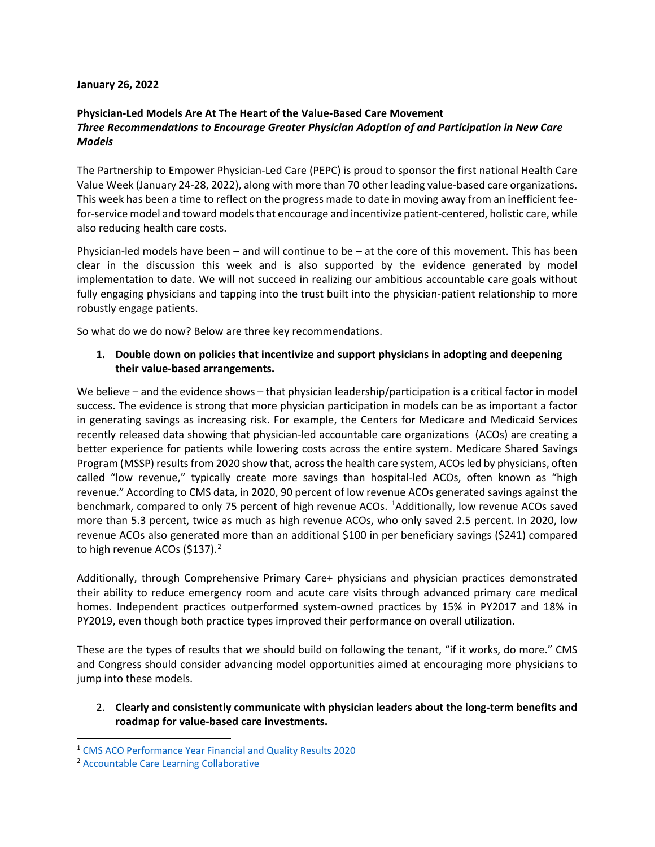#### **January 26, 2022**

# **Physician-Led Models Are At The Heart of the Value-Based Care Movement**  *Three Recommendations to Encourage Greater Physician Adoption of and Participation in New Care Models*

The Partnership to Empower Physician-Led Care (PEPC) is proud to sponsor the first national Health Care Value Week (January 24-28, 2022), along with more than 70 other leading value-based care organizations. This week has been a time to reflect on the progress made to date in moving away from an inefficient feefor-service model and toward models that encourage and incentivize patient-centered, holistic care, while also reducing health care costs.

Physician-led models have been – and will continue to be – at the core of this movement. This has been clear in the discussion this week and is also supported by the evidence generated by model implementation to date. We will not succeed in realizing our ambitious accountable care goals without fully engaging physicians and tapping into the trust built into the physician-patient relationship to more robustly engage patients.

So what do we do now? Below are three key recommendations.

## **1. Double down on policies that incentivize and support physicians in adopting and deepening their value-based arrangements.**

We believe – and the evidence shows – that physician leadership/participation is a critical factor in model success. The evidence is strong that more physician participation in models can be as important a factor in generating savings as increasing risk. For example, the Centers for Medicare and Medicaid Services recently released data showing that physician-led accountable care organizations (ACOs) are creating a better experience for patients while lowering costs across the entire system. Medicare Shared Savings Program (MSSP) results from 2020 show that, across the health care system, ACOs led by physicians, often called "low revenue," typically create more savings than hospital-led ACOs, often known as "high revenue." According to CMS data, in 2020, 90 percent of low revenue ACOs generated savings against the benchmark, compared to only 75 percent of high revenue ACOs. <sup>[1](#page-0-0)</sup>Additionally, low revenue ACOs saved more than 5.3 percent, twice as much as high revenue ACOs, who only saved 2.5 percent. In 2020, low revenue ACOs also generated more than an additional \$100 in per beneficiary savings (\$241) compared to high revenue ACOs (\$137).<sup>[2](#page-0-1)</sup>

Additionally, through Comprehensive Primary Care+ physicians and physician practices demonstrated their ability to reduce emergency room and acute care visits through advanced primary care medical homes. Independent practices outperformed system-owned practices by 15% in PY2017 and 18% in PY2019, even though both practice types improved their performance on overall utilization.

These are the types of results that we should build on following the tenant, "if it works, do more." CMS and Congress should consider advancing model opportunities aimed at encouraging more physicians to jump into these models.

# 2. **Clearly and consistently communicate with physician leaders about the long-term benefits and roadmap for value-based care investments.**

<span id="page-0-0"></span><sup>1</sup> [CMS ACO Performance Year Financial and Quality Results 2020](https://data.cms.gov/medicare-shared-savings-program/performance-year-financial-and-quality-results)

<span id="page-0-1"></span><sup>2</sup> [Accountable Care Learning Collaborative](https://www.accountablecarelc.org/sites/default/files/ACLC-IB-MSSP-2020-Results-0921.pdf)